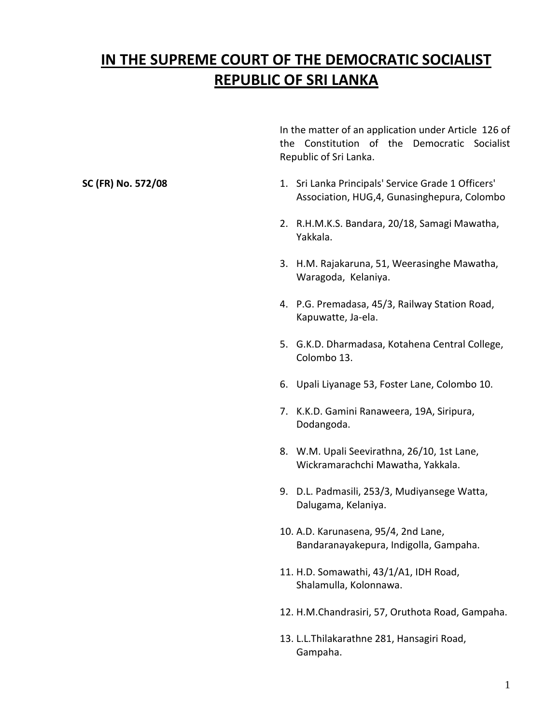# **IN THE SUPREME COURT OF THE DEMOCRATIC SOCIALIST REPUBLIC OF SRI LANKA**

In the matter of an application under Article 126 of the Constitution of the Democratic Socialist Republic of Sri Lanka.

- **SC** (FR) No. 572/08 1. Sri Lanka Principals' Service Grade 1 Officers' Association, HUG,4, Gunasinghepura, Colombo
	- 2. R.H.M.K.S. Bandara, 20/18, Samagi Mawatha, Yakkala.
	- 3. H.M. Rajakaruna, 51, Weerasinghe Mawatha, Waragoda, Kelaniya.
	- 4. P.G. Premadasa, 45/3, Railway Station Road, Kapuwatte, Ja-ela.
	- 5. G.K.D. Dharmadasa, Kotahena Central College, Colombo 13.
	- 6. Upali Liyanage 53, Foster Lane, Colombo 10.
	- 7. K.K.D. Gamini Ranaweera, 19A, Siripura, Dodangoda.
	- 8. W.M. Upali Seevirathna, 26/10, 1st Lane, Wickramarachchi Mawatha, Yakkala.
	- 9. D.L. Padmasili, 253/3, Mudiyansege Watta, Dalugama, Kelaniya.
	- 10. A.D. Karunasena, 95/4, 2nd Lane, Bandaranayakepura, Indigolla, Gampaha.
	- 11. H.D. Somawathi, 43/1/A1, IDH Road, Shalamulla, Kolonnawa.
	- 12. H.M.Chandrasiri, 57, Oruthota Road, Gampaha.
	- 13. L.L.Thilakarathne 281, Hansagiri Road, Gampaha.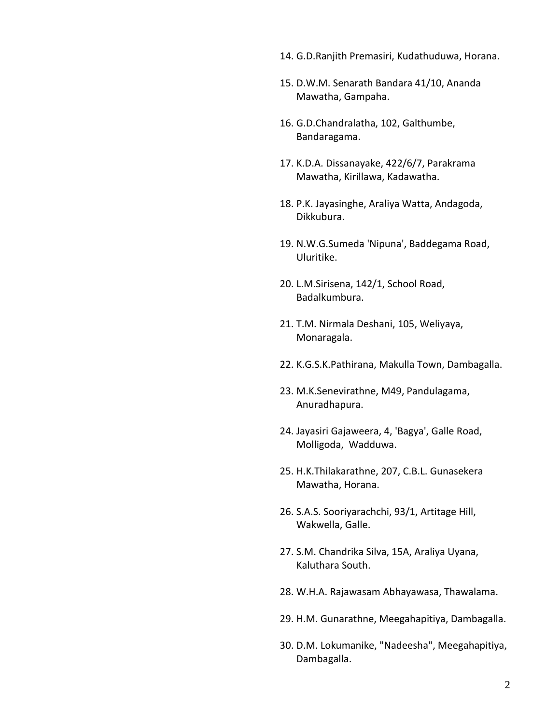- 14. G.D.Ranjith Premasiri, Kudathuduwa, Horana.
- 15. D.W.M. Senarath Bandara 41/10, Ananda Mawatha, Gampaha.
- 16. G.D.Chandralatha, 102, Galthumbe, Bandaragama.
- 17. K.D.A. Dissanayake, 422/6/7, Parakrama Mawatha, Kirillawa, Kadawatha.
- 18. P.K. Jayasinghe, Araliya Watta, Andagoda, Dikkubura.
- 19. N.W.G.Sumeda 'Nipuna', Baddegama Road, Uluritike.
- 20. L.M.Sirisena, 142/1, School Road, Badalkumbura.
- 21. T.M. Nirmala Deshani, 105, Weliyaya, Monaragala.
- 22. K.G.S.K.Pathirana, Makulla Town, Dambagalla.
- 23. M.K.Senevirathne, M49, Pandulagama, Anuradhapura.
- 24. Jayasiri Gajaweera, 4, 'Bagya', Galle Road, Molligoda, Wadduwa.
- 25. H.K.Thilakarathne, 207, C.B.L. Gunasekera Mawatha, Horana.
- 26. S.A.S. Sooriyarachchi, 93/1, Artitage Hill, Wakwella, Galle.
- 27. S.M. Chandrika Silva, 15A, Araliya Uyana, Kaluthara South.
- 28. W.H.A. Rajawasam Abhayawasa, Thawalama.
- 29. H.M. Gunarathne, Meegahapitiya, Dambagalla.
- 30. D.M. Lokumanike, "Nadeesha", Meegahapitiya, Dambagalla.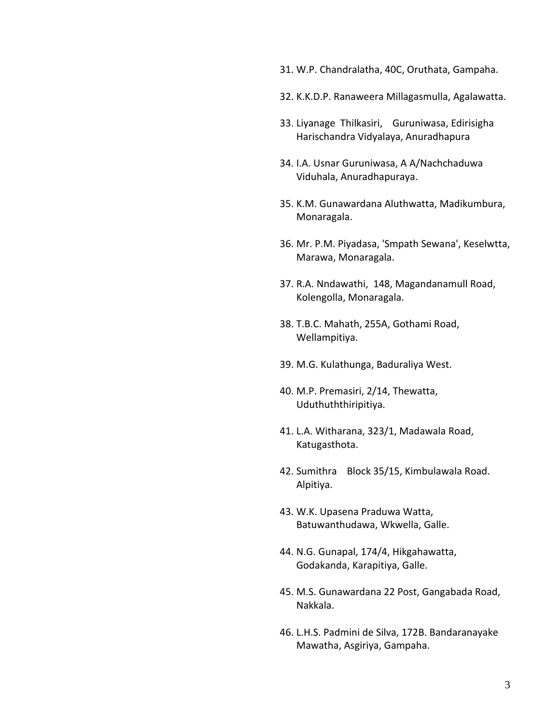- 31. W.P. Chandralatha, 40C, Oruthata, Gampaha.
- 32. K.K.D.P. Ranaweera Millagasmulla, Agalawatta.
- 33. Liyanage Thilkasiri, Guruniwasa, Edirisigha Harischandra Vidyalaya, Anuradhapura
- 34. I.A. Usnar Guruniwasa, A A/Nachchaduwa Viduhala, Anuradhapuraya.
- 35. K.M. Gunawardana Aluthwatta, Madikumbura, Monaragala.
- 36. Mr. P.M. Piyadasa, 'Smpath Sewana', Keselwtta, Marawa, Monaragala.
- 37. R.A. Nndawathi, 148, Magandanamull Road, Kolengolla, Monaragala.
- 38. T.B.C. Mahath, 255A, Gothami Road, Wellampitiya.
- 39. M.G. Kulathunga, Baduraliya West.
- 40. M.P. Premasiri, 2/14, Thewatta, Uduthuththiripitiya.
- 41. L.A. Witharana, 323/1, Madawala Road, Katugasthota.
- 42. Sumithra Block 35/15, Kimbulawala Road. Alpitiya.
- 43. W.K. Upasena Praduwa Watta, Batuwanthudawa, Wkwella, Galle.
- 44. N.G. Gunapal, 174/4, Hikgahawatta, Godakanda, Karapitiya, Galle.
- 45. M.S. Gunawardana 22 Post, Gangabada Road, Nakkala.
- 46. L.H.S. Padmini de Silva, 172B. Bandaranayake Mawatha, Asgiriya, Gampaha.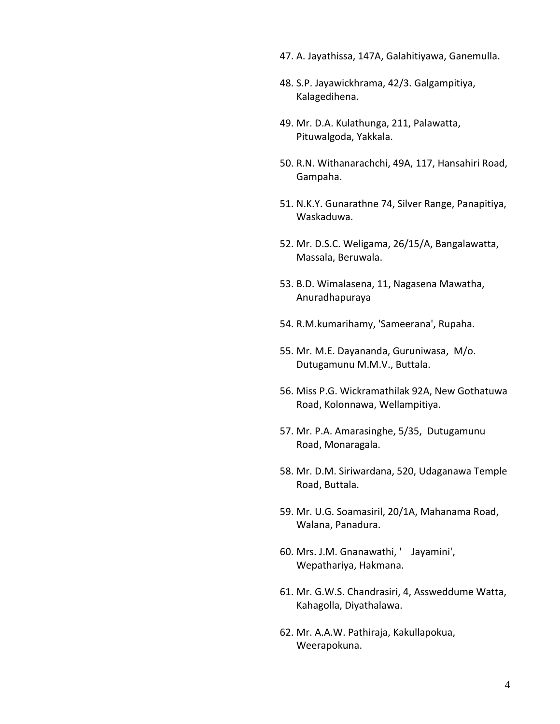- 47. A. Jayathissa, 147A, Galahitiyawa, Ganemulla.
- 48. S.P. Jayawickhrama, 42/3. Galgampitiya, Kalagedihena.
- 49. Mr. D.A. Kulathunga, 211, Palawatta, Pituwalgoda, Yakkala.
- 50. R.N. Withanarachchi, 49A, 117, Hansahiri Road, Gampaha.
- 51. N.K.Y. Gunarathne 74, Silver Range, Panapitiya, Waskaduwa.
- 52. Mr. D.S.C. Weligama, 26/15/A, Bangalawatta, Massala, Beruwala.
- 53. B.D. Wimalasena, 11, Nagasena Mawatha, Anuradhapuraya
- 54. R.M.kumarihamy, 'Sameerana', Rupaha.
- 55. Mr. M.E. Dayananda, Guruniwasa, M/o. Dutugamunu M.M.V., Buttala.
- 56. Miss P.G. Wickramathilak 92A, New Gothatuwa Road, Kolonnawa, Wellampitiya.
- 57. Mr. P.A. Amarasinghe, 5/35, Dutugamunu Road, Monaragala.
- 58. Mr. D.M. Siriwardana, 520, Udaganawa Temple Road, Buttala.
- 59. Mr. U.G. Soamasiril, 20/1A, Mahanama Road, Walana, Panadura.
- 60. Mrs. J.M. Gnanawathi, ' Jayamini', Wepathariya, Hakmana.
- 61. Mr. G.W.S. Chandrasiri, 4, Assweddume Watta, Kahagolla, Diyathalawa.
- 62. Mr. A.A.W. Pathiraja, Kakullapokua, Weerapokuna.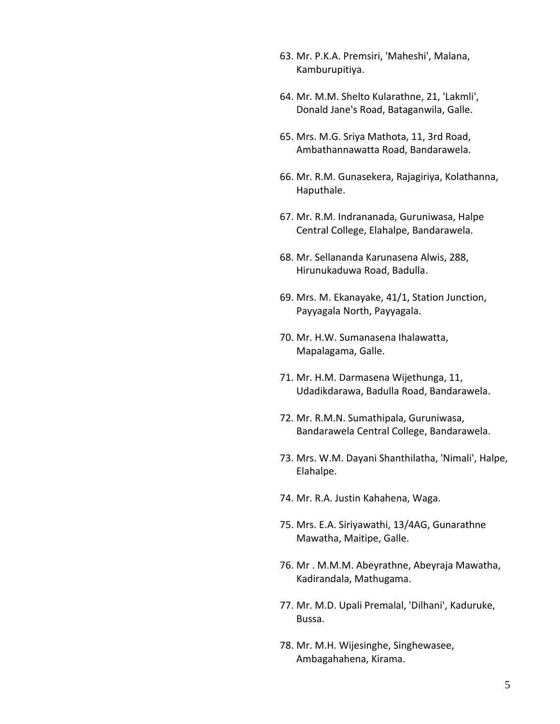- 63. Mr. P.K.A. Premsiri, 'Maheshi', Malana, Kamburupitiya.
- 64. Mr. M.M. Shelto Kularathne, 21, 'Lakmli', Donald Jane's Road, Bataganwila, Galle.
- 65. Mrs. M.G. Sriya Mathota, 11, 3rd Road, Ambathannawatta Road, Bandarawela.
- 66. Mr. R.M. Gunasekera, Rajagiriya, Kolathanna, Haputhale.
- 67. Mr. R.M. Indrananada, Guruniwasa, Halpe Central College, Elahalpe, Bandarawela.
- 68. Mr. Sellananda Karunasena Alwis, 288, Hirunukaduwa Road, Badulla.
- 69. Mrs. M. Ekanayake, 41/1, Station Junction, Payyagala North, Payyagala.
- 70. Mr. H.W. Sumanasena Ihalawatta, Mapalagama, Galle.
- 71. Mr. H.M. Darmasena Wijethunga, 11, Udadikdarawa, Badulla Road, Bandarawela.
- 72. Mr. R.M.N. Sumathipala, Guruniwasa, Bandarawela Central College, Bandarawela.
- 73. Mrs. W.M. Dayani Shanthilatha, 'Nimali', Halpe, Elahalpe.
- 74. Mr. R.A. Justin Kahahena, Waga.
- 75. Mrs. E.A. Siriyawathi, 13/4AG, Gunarathne Mawatha, Maitipe, Galle.
- 76. Mr . M.M.M. Abeyrathne, Abeyraja Mawatha, Kadirandala, Mathugama.
- 77. Mr. M.D. Upali Premalal, 'Dilhani', Kaduruke, Bussa.
- 78. Mr. M.H. Wijesinghe, Singhewasee, Ambagahahena, Kirama.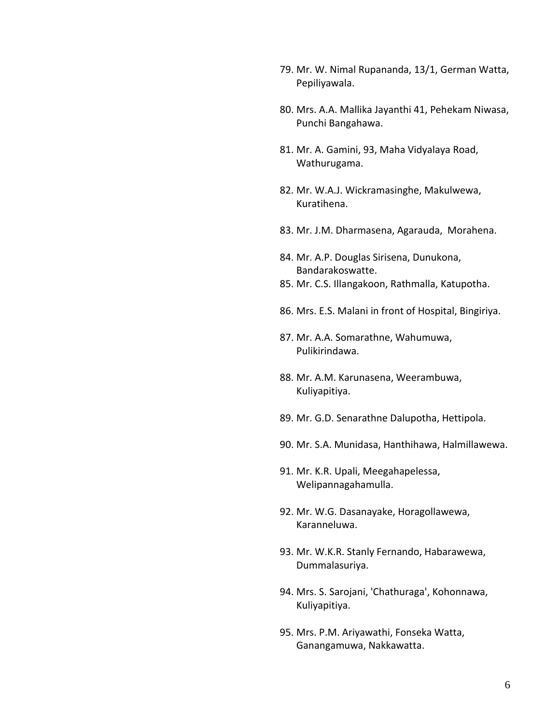- 79. Mr. W. Nimal Rupananda, 13/1, German Watta, Pepiliyawala.
- 80. Mrs. A.A. Mallika Jayanthi 41, Pehekam Niwasa, Punchi Bangahawa.
- 81. Mr. A. Gamini, 93, Maha Vidyalaya Road, Wathurugama.
- 82. Mr. W.A.J. Wickramasinghe, Makulwewa, Kuratihena.
- 83. Mr. J.M. Dharmasena, Agarauda, Morahena.
- 84. Mr. A.P. Douglas Sirisena, Dunukona, Bandarakoswatte.
- 85. Mr. C.S. Illangakoon, Rathmalla, Katupotha.
- 86. Mrs. E.S. Malani in front of Hospital, Bingiriya.
- 87. Mr. A.A. Somarathne, Wahumuwa, Pulikirindawa.
- 88. Mr. A.M. Karunasena, Weerambuwa, Kuliyapitiya.
- 89. Mr. G.D. Senarathne Dalupotha, Hettipola.
- 90. Mr. S.A. Munidasa, Hanthihawa, Halmillawewa.
- 91. Mr. K.R. Upali, Meegahapelessa, Welipannagahamulla.
- 92. Mr. W.G. Dasanayake, Horagollawewa, Karanneluwa.
- 93. Mr. W.K.R. Stanly Fernando, Habarawewa, Dummalasuriya.
- 94. Mrs. S. Sarojani, 'Chathuraga', Kohonnawa, Kuliyapitiya.
- 95. Mrs. P.M. Ariyawathi, Fonseka Watta, Ganangamuwa, Nakkawatta.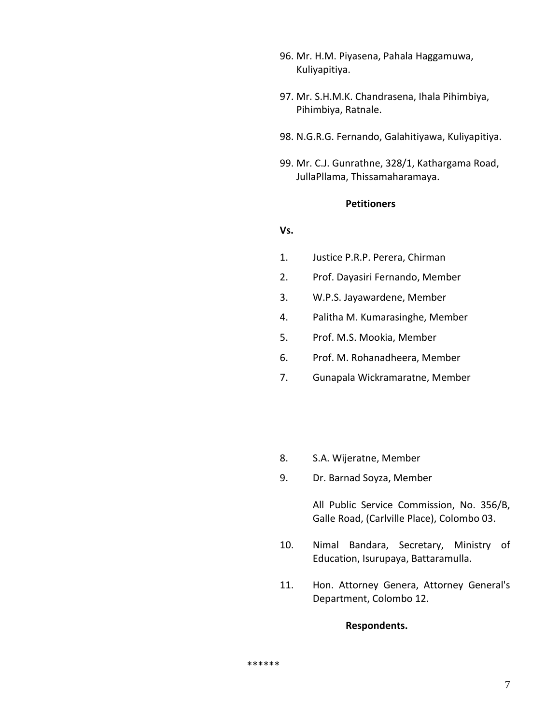- 96. Mr. H.M. Piyasena, Pahala Haggamuwa, Kuliyapitiya.
- 97. Mr. S.H.M.K. Chandrasena, Ihala Pihimbiya, Pihimbiya, Ratnale.
- 98. N.G.R.G. Fernando, Galahitiyawa, Kuliyapitiya.
- 99. Mr. C.J. Gunrathne, 328/1, Kathargama Road, JullaPllama, Thissamaharamaya.

### **Petitioners**

#### **Vs.**

- 1. Justice P.R.P. Perera, Chirman
- 2. Prof. Dayasiri Fernando, Member
- 3. W.P.S. Jayawardene, Member
- 4. Palitha M. Kumarasinghe, Member
- 5. Prof. M.S. Mookia, Member
- 6. Prof. M. Rohanadheera, Member
- 7. Gunapala Wickramaratne, Member
- 8. S.A. Wijeratne, Member
- 9. Dr. Barnad Soyza, Member

All Public Service Commission, No. 356/B, Galle Road, (Carlville Place), Colombo 03.

- 10. Nimal Bandara, Secretary, Ministry of Education, Isurupaya, Battaramulla.
- 11. Hon. Attorney Genera, Attorney General's Department, Colombo 12.

**Respondents.**

\*\*\*\*\*\*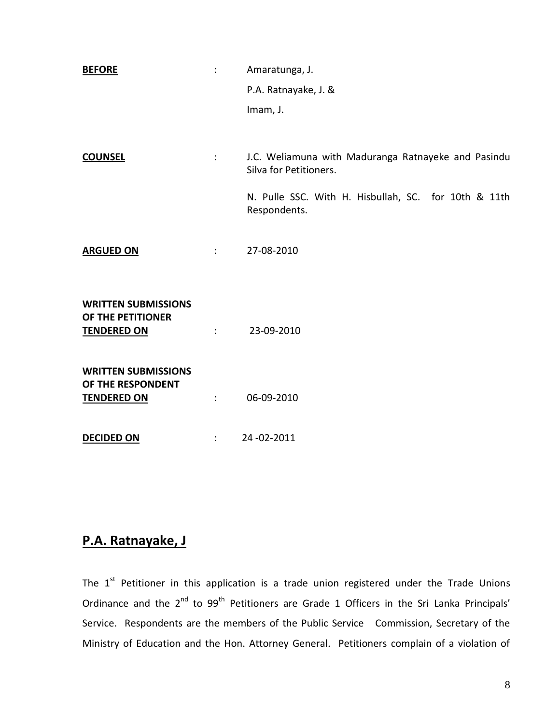| <b>BEFORE</b>                                                         | ÷                    | Amaratunga, J.                                                                |
|-----------------------------------------------------------------------|----------------------|-------------------------------------------------------------------------------|
|                                                                       |                      | P.A. Ratnayake, J. &                                                          |
|                                                                       |                      | Imam, J.                                                                      |
|                                                                       |                      |                                                                               |
| <b>COUNSEL</b>                                                        | $1 - 1 - 1$          | J.C. Weliamuna with Maduranga Ratnayeke and Pasindu<br>Silva for Petitioners. |
|                                                                       |                      | N. Pulle SSC. With H. Hisbullah, SC. for 10th & 11th<br>Respondents.          |
| <b>ARGUED ON</b>                                                      | <b>COMPANY</b>       | 27-08-2010                                                                    |
| <b>WRITTEN SUBMISSIONS</b><br>OF THE PETITIONER<br><b>TENDERED ON</b> |                      | $23-09-2010$                                                                  |
| <b>WRITTEN SUBMISSIONS</b><br>OF THE RESPONDENT<br><b>TENDERED ON</b> | $\ddot{\phantom{a}}$ | 06-09-2010                                                                    |
| <b>DECIDED ON</b>                                                     | $\ddot{\phantom{a}}$ | 24-02-2011                                                                    |

## **P.A. Ratnayake, J**

The  $1<sup>st</sup>$  Petitioner in this application is a trade union registered under the Trade Unions Ordinance and the  $2^{nd}$  to  $99^{th}$  Petitioners are Grade 1 Officers in the Sri Lanka Principals' Service. Respondents are the members of the Public Service Commission, Secretary of the Ministry of Education and the Hon. Attorney General. Petitioners complain of a violation of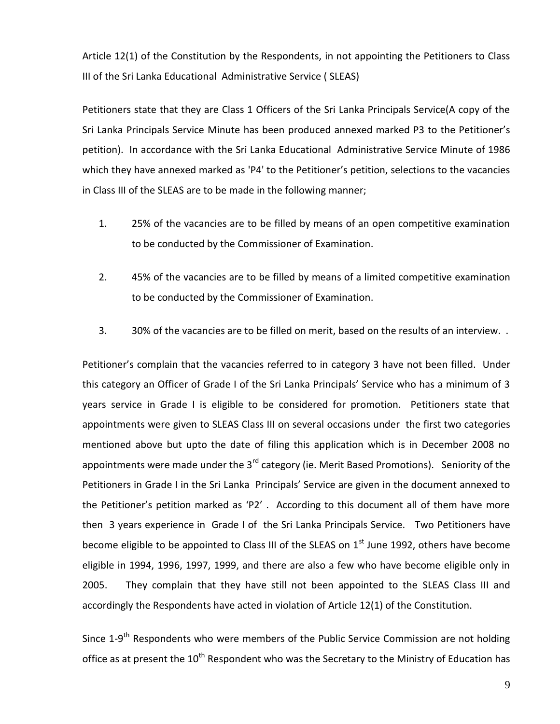Article 12(1) of the Constitution by the Respondents, in not appointing the Petitioners to Class III of the Sri Lanka Educational Administrative Service ( SLEAS)

Petitioners state that they are Class 1 Officers of the Sri Lanka Principals Service(A copy of the Sri Lanka Principals Service Minute has been produced annexed marked P3 to the Petitioner's petition). In accordance with the Sri Lanka Educational Administrative Service Minute of 1986 which they have annexed marked as 'P4' to the Petitioner's petition, selections to the vacancies in Class III of the SLEAS are to be made in the following manner;

- 1. 25% of the vacancies are to be filled by means of an open competitive examination to be conducted by the Commissioner of Examination.
- 2. 45% of the vacancies are to be filled by means of a limited competitive examination to be conducted by the Commissioner of Examination.
- 3. 30% of the vacancies are to be filled on merit, based on the results of an interview. .

Petitioner's complain that the vacancies referred to in category 3 have not been filled. Under this category an Officer of Grade I of the Sri Lanka Principals' Service who has a minimum of 3 years service in Grade I is eligible to be considered for promotion. Petitioners state that appointments were given to SLEAS Class III on several occasions under the first two categories mentioned above but upto the date of filing this application which is in December 2008 no appointments were made under the  $3<sup>rd</sup>$  category (ie. Merit Based Promotions). Seniority of the Petitioners in Grade I in the Sri Lanka Principals' Service are given in the document annexed to the Petitioner's petition marked as 'P2' . According to this document all of them have more then 3 years experience in Grade I of the Sri Lanka Principals Service. Two Petitioners have become eligible to be appointed to Class III of the SLEAS on  $1<sup>st</sup>$  June 1992, others have become eligible in 1994, 1996, 1997, 1999, and there are also a few who have become eligible only in 2005. They complain that they have still not been appointed to the SLEAS Class III and accordingly the Respondents have acted in violation of Article 12(1) of the Constitution.

Since 1-9<sup>th</sup> Respondents who were members of the Public Service Commission are not holding office as at present the 10<sup>th</sup> Respondent who was the Secretary to the Ministry of Education has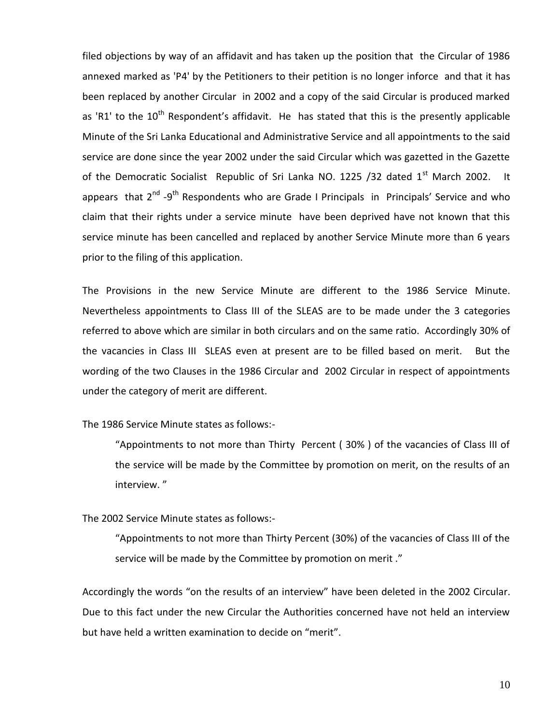filed objections by way of an affidavit and has taken up the position that the Circular of 1986 annexed marked as 'P4' by the Petitioners to their petition is no longer inforce and that it has been replaced by another Circular in 2002 and a copy of the said Circular is produced marked as 'R1' to the  $10^{th}$  Respondent's affidavit. He has stated that this is the presently applicable Minute of the Sri Lanka Educational and Administrative Service and all appointments to the said service are done since the year 2002 under the said Circular which was gazetted in the Gazette of the Democratic Socialist Republic of Sri Lanka NO. 1225 /32 dated 1<sup>st</sup> March 2002. It appears that 2<sup>nd</sup> -9<sup>th</sup> Respondents who are Grade I Principals in Principals' Service and who claim that their rights under a service minute have been deprived have not known that this service minute has been cancelled and replaced by another Service Minute more than 6 years prior to the filing of this application.

The Provisions in the new Service Minute are different to the 1986 Service Minute. Nevertheless appointments to Class III of the SLEAS are to be made under the 3 categories referred to above which are similar in both circulars and on the same ratio. Accordingly 30% of the vacancies in Class III SLEAS even at present are to be filled based on merit. But the wording of the two Clauses in the 1986 Circular and 2002 Circular in respect of appointments under the category of merit are different.

The 1986 Service Minute states as follows:-

"Appointments to not more than Thirty Percent ( 30% ) of the vacancies of Class III of the service will be made by the Committee by promotion on merit, on the results of an interview. "

The 2002 Service Minute states as follows:-

"Appointments to not more than Thirty Percent (30%) of the vacancies of Class III of the service will be made by the Committee by promotion on merit ."

Accordingly the words "on the results of an interview" have been deleted in the 2002 Circular. Due to this fact under the new Circular the Authorities concerned have not held an interview but have held a written examination to decide on "merit".

10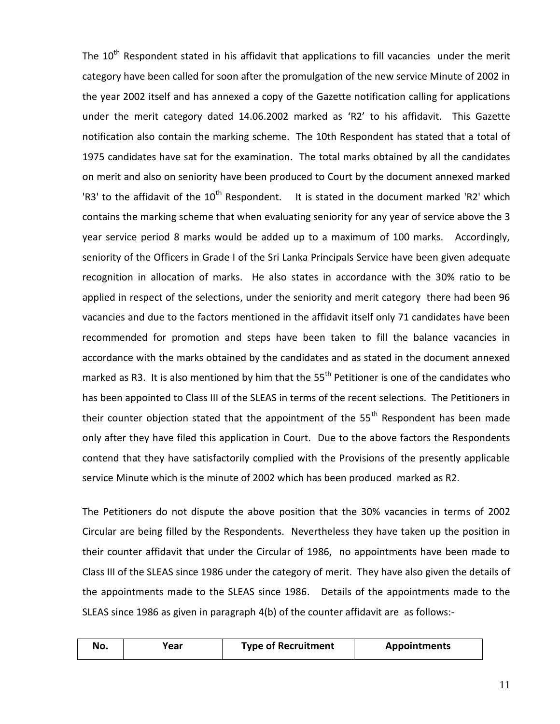The  $10<sup>th</sup>$  Respondent stated in his affidavit that applications to fill vacancies under the merit category have been called for soon after the promulgation of the new service Minute of 2002 in the year 2002 itself and has annexed a copy of the Gazette notification calling for applications under the merit category dated 14.06.2002 marked as 'R2' to his affidavit. This Gazette notification also contain the marking scheme. The 10th Respondent has stated that a total of 1975 candidates have sat for the examination. The total marks obtained by all the candidates on merit and also on seniority have been produced to Court by the document annexed marked 'R3' to the affidavit of the  $10^{th}$  Respondent. It is stated in the document marked 'R2' which contains the marking scheme that when evaluating seniority for any year of service above the 3 year service period 8 marks would be added up to a maximum of 100 marks. Accordingly, seniority of the Officers in Grade I of the Sri Lanka Principals Service have been given adequate recognition in allocation of marks. He also states in accordance with the 30% ratio to be applied in respect of the selections, under the seniority and merit category there had been 96 vacancies and due to the factors mentioned in the affidavit itself only 71 candidates have been recommended for promotion and steps have been taken to fill the balance vacancies in accordance with the marks obtained by the candidates and as stated in the document annexed marked as R3. It is also mentioned by him that the 55<sup>th</sup> Petitioner is one of the candidates who has been appointed to Class III of the SLEAS in terms of the recent selections. The Petitioners in their counter objection stated that the appointment of the  $55<sup>th</sup>$  Respondent has been made only after they have filed this application in Court. Due to the above factors the Respondents contend that they have satisfactorily complied with the Provisions of the presently applicable service Minute which is the minute of 2002 which has been produced marked as R2.

The Petitioners do not dispute the above position that the 30% vacancies in terms of 2002 Circular are being filled by the Respondents. Nevertheless they have taken up the position in their counter affidavit that under the Circular of 1986, no appointments have been made to Class III of the SLEAS since 1986 under the category of merit. They have also given the details of the appointments made to the SLEAS since 1986. Details of the appointments made to the SLEAS since 1986 as given in paragraph 4(b) of the counter affidavit are as follows:-

| No. | rear) | <b>Type of Recruitment</b> | <b>Appointments</b> |
|-----|-------|----------------------------|---------------------|
|     |       |                            |                     |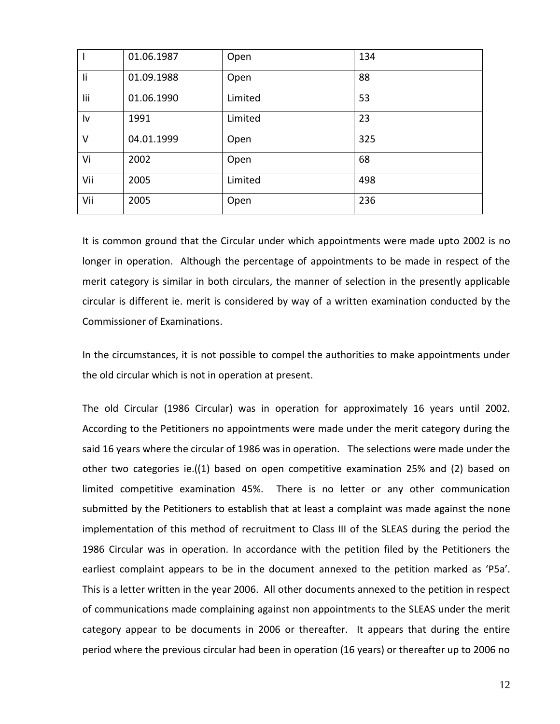|        | 01.06.1987 | Open    | 134 |
|--------|------------|---------|-----|
| li     | 01.09.1988 | Open    | 88  |
| lii    | 01.06.1990 | Limited | 53  |
| Iv     | 1991       | Limited | 23  |
| $\vee$ | 04.01.1999 | Open    | 325 |
| Vi     | 2002       | Open    | 68  |
| Vii    | 2005       | Limited | 498 |
| Vii    | 2005       | Open    | 236 |

It is common ground that the Circular under which appointments were made upto 2002 is no longer in operation. Although the percentage of appointments to be made in respect of the merit category is similar in both circulars, the manner of selection in the presently applicable circular is different ie. merit is considered by way of a written examination conducted by the Commissioner of Examinations.

In the circumstances, it is not possible to compel the authorities to make appointments under the old circular which is not in operation at present.

The old Circular (1986 Circular) was in operation for approximately 16 years until 2002. According to the Petitioners no appointments were made under the merit category during the said 16 years where the circular of 1986 was in operation. The selections were made under the other two categories ie.((1) based on open competitive examination 25% and (2) based on limited competitive examination 45%. There is no letter or any other communication submitted by the Petitioners to establish that at least a complaint was made against the none implementation of this method of recruitment to Class III of the SLEAS during the period the 1986 Circular was in operation. In accordance with the petition filed by the Petitioners the earliest complaint appears to be in the document annexed to the petition marked as 'P5a'. This is a letter written in the year 2006. All other documents annexed to the petition in respect of communications made complaining against non appointments to the SLEAS under the merit category appear to be documents in 2006 or thereafter. It appears that during the entire period where the previous circular had been in operation (16 years) or thereafter up to 2006 no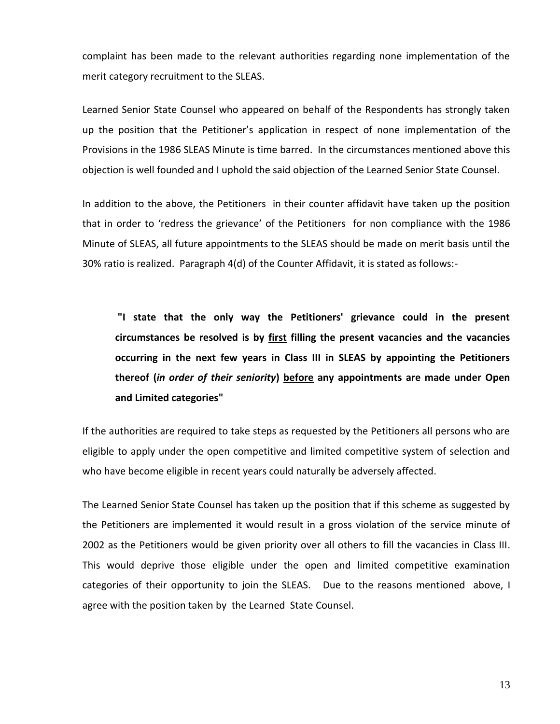complaint has been made to the relevant authorities regarding none implementation of the merit category recruitment to the SLEAS.

Learned Senior State Counsel who appeared on behalf of the Respondents has strongly taken up the position that the Petitioner's application in respect of none implementation of the Provisions in the 1986 SLEAS Minute is time barred. In the circumstances mentioned above this objection is well founded and I uphold the said objection of the Learned Senior State Counsel.

In addition to the above, the Petitioners in their counter affidavit have taken up the position that in order to 'redress the grievance' of the Petitioners for non compliance with the 1986 Minute of SLEAS, all future appointments to the SLEAS should be made on merit basis until the 30% ratio is realized. Paragraph 4(d) of the Counter Affidavit, it is stated as follows:-

**"I state that the only way the Petitioners' grievance could in the present circumstances be resolved is by first filling the present vacancies and the vacancies occurring in the next few years in Class III in SLEAS by appointing the Petitioners thereof (***in order of their seniority***) before any appointments are made under Open and Limited categories"** 

If the authorities are required to take steps as requested by the Petitioners all persons who are eligible to apply under the open competitive and limited competitive system of selection and who have become eligible in recent years could naturally be adversely affected.

The Learned Senior State Counsel has taken up the position that if this scheme as suggested by the Petitioners are implemented it would result in a gross violation of the service minute of 2002 as the Petitioners would be given priority over all others to fill the vacancies in Class III. This would deprive those eligible under the open and limited competitive examination categories of their opportunity to join the SLEAS. Due to the reasons mentioned above, I agree with the position taken by the Learned State Counsel.